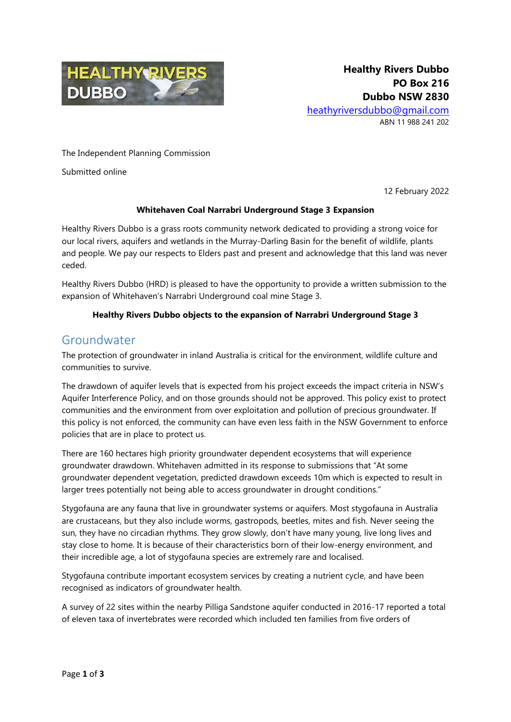

The Independent Planning Commission

Submitted online

12 February 2022

#### **Whitehaven Coal Narrabri Underground Stage 3 Expansion**

Healthy Rivers Dubbo is a grass roots community network dedicated to providing a strong voice for our local rivers, aquifers and wetlands in the Murray-Darling Basin for the benefit of wildlife, plants and people. We pay our respects to Elders past and present and acknowledge that this land was never ceded.

Healthy Rivers Dubbo (HRD) is pleased to have the opportunity to provide a written submission to the expansion of Whitehaven's Narrabri Underground coal mine Stage 3.

#### **Healthy Rivers Dubbo objects to the expansion of Narrabri Underground Stage 3**

### Groundwater

The protection of groundwater in inland Australia is critical for the environment, wildlife culture and communities to survive.

The drawdown of aquifer levels that is expected from his project exceeds the impact criteria in NSW's Aquifer Interference Policy, and on those grounds should not be approved. This policy exist to protect communities and the environment from over exploitation and pollution of precious groundwater. If this policy is not enforced, the community can have even less faith in the NSW Government to enforce policies that are in place to protect us.

There are 160 hectares high priority groundwater dependent ecosystems that will experience groundwater drawdown. Whitehaven admitted in its response to submissions that "At some groundwater dependent vegetation, predicted drawdown exceeds 10m which is expected to result in larger trees potentially not being able to access groundwater in drought conditions."

Stygofauna are any fauna that live in groundwater systems or aquifers. Most stygofauna in Australia are crustaceans, but they also include worms, gastropods, beetles, mites and fish. Never seeing the sun, they have no circadian rhythms. They grow slowly, don't have many young, live long lives and stay close to home. It is because of their characteristics born of their low-energy environment, and their incredible age, a lot of stygofauna species are extremely rare and localised.

Stygofauna contribute important ecosystem services by creating a nutrient cycle, and have been recognised as indicators of groundwater health.

A survey of 22 sites within the nearby Pilliga Sandstone aquifer conducted in 2016-17 reported a total of eleven taxa of invertebrates were recorded which included ten families from five orders of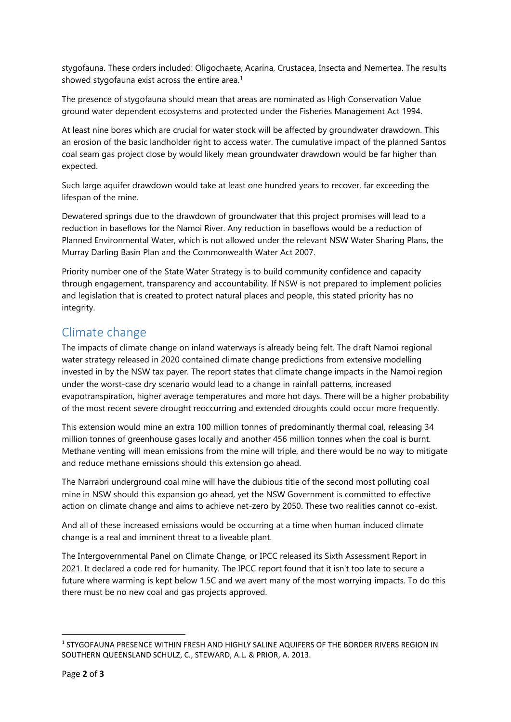stygofauna. These orders included: Oligochaete, Acarina, Crustacea, Insecta and Nemertea. The results showed stygofauna exist across the entire area.<sup>1</sup>

The presence of stygofauna should mean that areas are nominated as High Conservation Value ground water dependent ecosystems and protected under the Fisheries Management Act 1994.

At least nine bores which are crucial for water stock will be affected by groundwater drawdown. This an erosion of the basic landholder right to access water. The cumulative impact of the planned Santos coal seam gas project close by would likely mean groundwater drawdown would be far higher than expected.

Such large aquifer drawdown would take at least one hundred years to recover, far exceeding the lifespan of the mine.

Dewatered springs due to the drawdown of groundwater that this project promises will lead to a reduction in baseflows for the Namoi River. Any reduction in baseflows would be a reduction of Planned Environmental Water, which is not allowed under the relevant NSW Water Sharing Plans, the Murray Darling Basin Plan and the Commonwealth Water Act 2007.

Priority number one of the State Water Strategy is to build community confidence and capacity through engagement, transparency and accountability. If NSW is not prepared to implement policies and legislation that is created to protect natural places and people, this stated priority has no integrity.

# Climate change

The impacts of climate change on inland waterways is already being felt. The draft Namoi regional water strategy released in 2020 contained climate change predictions from extensive modelling invested in by the NSW tax payer. The report states that climate change impacts in the Namoi region under the worst-case dry scenario would lead to a change in rainfall patterns, increased evapotranspiration, higher average temperatures and more hot days. There will be a higher probability of the most recent severe drought reoccurring and extended droughts could occur more frequently.

This extension would mine an extra 100 million tonnes of predominantly thermal coal, releasing 34 million tonnes of greenhouse gases locally and another 456 million tonnes when the coal is burnt. Methane venting will mean emissions from the mine will triple, and there would be no way to mitigate and reduce methane emissions should this extension go ahead.

The Narrabri underground coal mine will have the dubious title of the second most polluting coal mine in NSW should this expansion go ahead, yet the NSW Government is committed to effective action on climate change and aims to achieve net-zero by 2050. These two realities cannot co-exist.

And all of these increased emissions would be occurring at a time when human induced climate change is a real and imminent threat to a liveable plant.

The Intergovernmental Panel on Climate Change, or IPCC released its Sixth Assessment Report in 2021. It declared a code red for humanity. The IPCC report found that it isn't too late to secure a future where warming is kept below 1.5C and we avert many of the most worrying impacts. To do this there must be no new coal and gas projects approved.

**.** 

<sup>&</sup>lt;sup>1</sup> STYGOFAUNA PRESENCE WITHIN FRESH AND HIGHLY SALINE AQUIFERS OF THE BORDER RIVERS REGION IN SOUTHERN QUEENSLAND SCHULZ, C., STEWARD, A.L. & PRIOR, A. 2013.